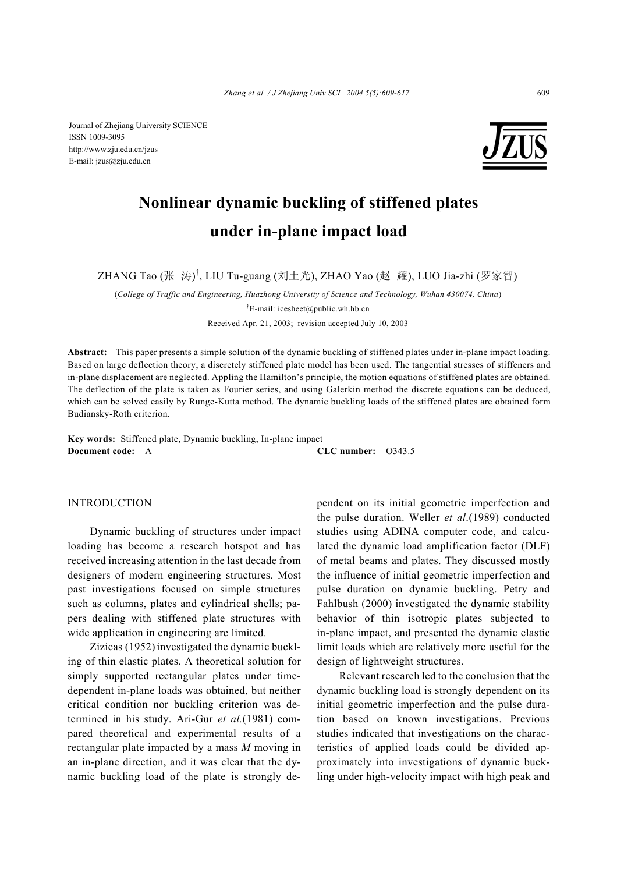Journal of Zhejiang University SCIENCE ISSN 1009-3095 http://www.zju.edu.cn/jzus E-mail: jzus@zju.edu.cn



# **Nonlinear dynamic buckling of stiffened plates under in-plane impact load**

ZHANG Tao (张 涛)<sup>†</sup>, LIU Tu-guang (刘土光), ZHAO Yao (赵 耀), LUO Jia-zhi (罗家智)

(*College of Traffic and Engineering, Huazhong University of Science and Technology, Wuhan 430074, China*) † E-mail: icesheet@public.wh.hb.cn

Received Apr. 21, 2003; revision accepted July 10, 2003

**Abstract:** This paper presents a simple solution of the dynamic buckling of stiffened plates under in-plane impact loading. Based on large deflection theory, a discretely stiffened plate model has been used. The tangential stresses of stiffeners and in-plane displacement are neglected. Appling the Hamilton's principle, the motion equations of stiffened plates are obtained. The deflection of the plate is taken as Fourier series, and using Galerkin method the discrete equations can be deduced, which can be solved easily by Runge-Kutta method. The dynamic buckling loads of the stiffened plates are obtained form Budiansky-Roth criterion.

**Key words:** Stiffened plate, Dynamic buckling, In-plane impact **Document code:** A **CLC number:** O343.5

INTRODUCTION

Dynamic buckling of structures under impact loading has become a research hotspot and has received increasing attention in the last decade from designers of modern engineering structures. Most past investigations focused on simple structures such as columns, plates and cylindrical shells; papers dealing with stiffened plate structures with wide application in engineering are limited.

Zizicas (1952) investigated the dynamic buckling of thin elastic plates. A theoretical solution for simply supported rectangular plates under timedependent in-plane loads was obtained, but neither critical condition nor buckling criterion was determined in his study. Ari-Gur *et al.*(1981) compared theoretical and experimental results of a rectangular plate impacted by a mass *M* moving in an in-plane direction, and it was clear that the dynamic buckling load of the plate is strongly dependent on its initial geometric imperfection and the pulse duration. Weller *et al*.(1989) conducted studies using ADINA computer code, and calculated the dynamic load amplification factor (DLF) of metal beams and plates. They discussed mostly the influence of initial geometric imperfection and pulse duration on dynamic buckling. Petry and Fahlbush (2000) investigated the dynamic stability behavior of thin isotropic plates subjected to in-plane impact, and presented the dynamic elastic limit loads which are relatively more useful for the design of lightweight structures.

Relevant research led to the conclusion that the dynamic buckling load is strongly dependent on its initial geometric imperfection and the pulse duration based on known investigations. Previous studies indicated that investigations on the characteristics of applied loads could be divided approximately into investigations of dynamic buckling under high-velocity impact with high peak and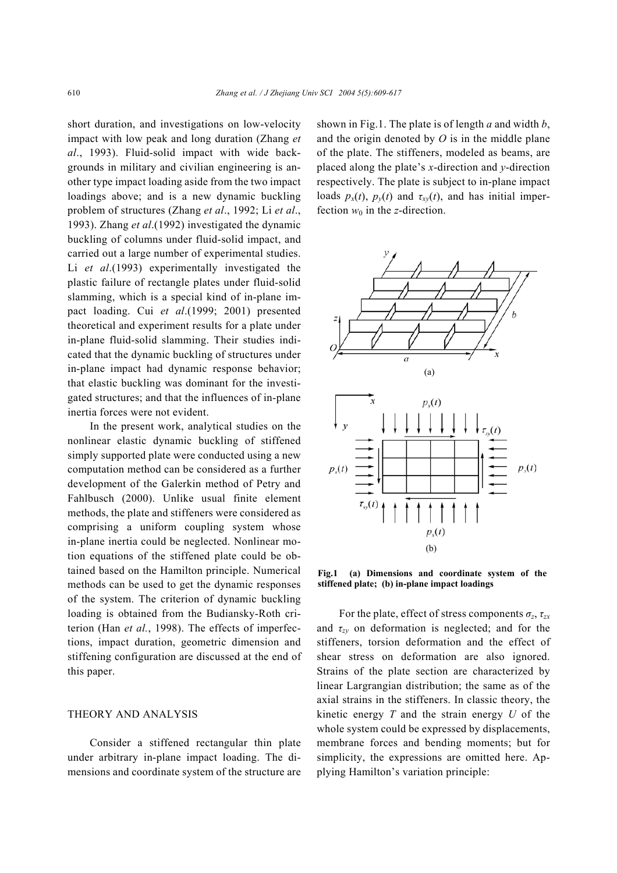short duration, and investigations on low-velocity impact with low peak and long duration (Zhang *et al*., 1993). Fluid-solid impact with wide backgrounds in military and civilian engineering is another type impact loading aside from the two impact loadings above; and is a new dynamic buckling problem of structures (Zhang *et al*., 1992; Li *et al*., 1993). Zhang *et al*.(1992) investigated the dynamic buckling of columns under fluid-solid impact, and carried out a large number of experimental studies. Li *et al*.(1993) experimentally investigated the plastic failure of rectangle plates under fluid-solid slamming, which is a special kind of in-plane impact loading. Cui *et al*.(1999; 2001) presented theoretical and experiment results for a plate under in-plane fluid-solid slamming. Their studies indicated that the dynamic buckling of structures under in-plane impact had dynamic response behavior; that elastic buckling was dominant for the investigated structures; and that the influences of in-plane inertia forces were not evident.

In the present work, analytical studies on the nonlinear elastic dynamic buckling of stiffened simply supported plate were conducted using a new computation method can be considered as a further development of the Galerkin method of Petry and Fahlbusch (2000). Unlike usual finite element methods, the plate and stiffeners were considered as comprising a uniform coupling system whose in-plane inertia could be neglected. Nonlinear motion equations of the stiffened plate could be obtained based on the Hamilton principle. Numerical methods can be used to get the dynamic responses of the system. The criterion of dynamic buckling loading is obtained from the Budiansky-Roth criterion (Han *et al.*, 1998). The effects of imperfections, impact duration, geometric dimension and stiffening configuration are discussed at the end of this paper.

## THEORY AND ANALYSIS

Consider a stiffened rectangular thin plate under arbitrary in-plane impact loading. The dimensions and coordinate system of the structure are shown in Fig.1. The plate is of length *a* and width *b*, and the origin denoted by *O* is in the middle plane of the plate. The stiffeners, modeled as beams, are placed along the plate's *x*-direction and *y*-direction respectively. The plate is subject to in-plane impact loads  $p_x(t)$ ,  $p_y(t)$  and  $\tau_{xy}(t)$ , and has initial imperfection  $w_0$  in the *z*-direction.



**Fig.1 (a) Dimensions and coordinate system of the stiffened plate; (b) in-plane impact loadings** 

For the plate, effect of stress components  $\sigma_z$ ,  $\tau_{zx}$ and  $\tau_{zy}$  on deformation is neglected; and for the stiffeners, torsion deformation and the effect of shear stress on deformation are also ignored. Strains of the plate section are characterized by linear Largrangian distribution; the same as of the axial strains in the stiffeners. In classic theory, the kinetic energy *T* and the strain energy *U* of the whole system could be expressed by displacements, membrane forces and bending moments; but for simplicity, the expressions are omitted here. Applying Hamilton's variation principle: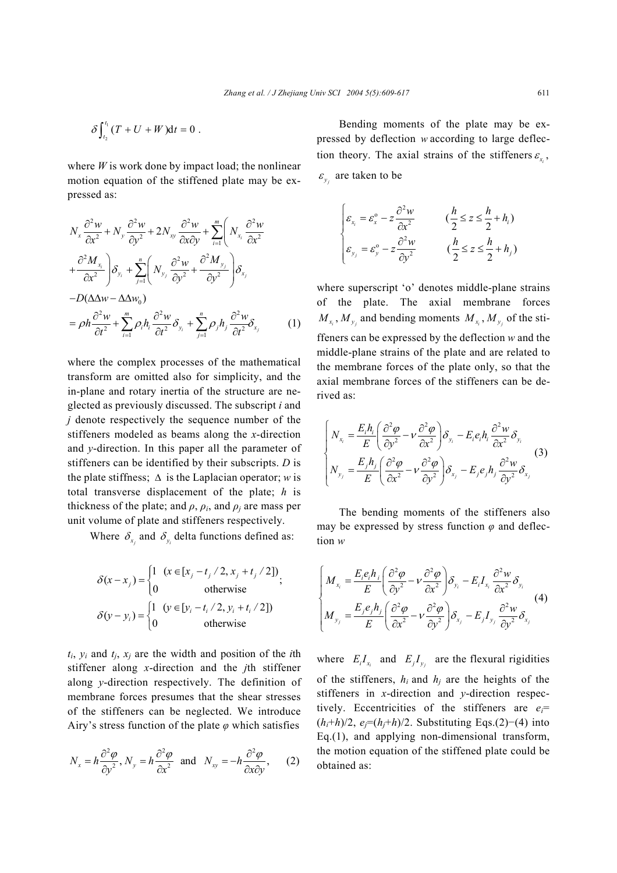$$
\delta\int_{t_2}^{t_1}(T+U+W)\mathrm{d}t=0.
$$

where  $W$  is work done by impact load; the nonlinear motion equation of the stiffened plate may be expressed as:

$$
N_{x} \frac{\partial^{2} w}{\partial x^{2}} + N_{y} \frac{\partial^{2} w}{\partial y^{2}} + 2N_{xy} \frac{\partial^{2} w}{\partial x \partial y} + \sum_{i=1}^{m} \left( N_{x_{i}} \frac{\partial^{2} w}{\partial x^{2}} + \frac{\partial^{2} M_{x_{i}}}{\partial x^{2}} \right) \delta_{y_{i}} + \sum_{j=1}^{n} \left( N_{y_{j}} \frac{\partial^{2} w}{\partial y^{2}} + \frac{\partial^{2} M_{y_{j}}}{\partial y^{2}} \right) \delta_{x_{j}}
$$
  
\n
$$
-D(\Delta \Delta w - \Delta \Delta w_{0})
$$
  
\n
$$
= \rho h \frac{\partial^{2} w}{\partial t^{2}} + \sum_{i=1}^{m} \rho_{i} h_{i} \frac{\partial^{2} w}{\partial t^{2}} \delta_{y_{i}} + \sum_{j=1}^{n} \rho_{j} h_{j} \frac{\partial^{2} w}{\partial t^{2}} \delta_{x_{j}}
$$
 (1)

 where the complex processes of the mathematical transform are omitted also for simplicity, and the in-plane and rotary inertia of the structure are neglected as previously discussed. The subscript *i* and *j* denote respectively the sequence number of the stiffeners modeled as beams along the *x*-direction and *y*-direction. In this paper all the parameter of stiffeners can be identified by their subscripts. *D* is the plate stiffness;  $\Delta$  is the Laplacian operator; *w* is total transverse displacement of the plate; *h* is thickness of the plate; and  $\rho$ ,  $\rho$ *<sub>i</sub>*, and  $\rho$ *<sub>j</sub>* are mass per unit volume of plate and stiffeners respectively.

Where  $\delta_{x_i}$  and  $\delta_{y_i}$  delta functions defined as:

$$
\delta(x - x_j) = \begin{cases} 1 & (x \in [x_j - t_j / 2, x_j + t_j / 2]) \\ 0 & \text{otherwise} \end{cases}
$$
  

$$
\delta(y - y_i) = \begin{cases} 1 & (y \in [y_i - t_i / 2, y_i + t_i / 2]) \\ 0 & \text{otherwise} \end{cases}
$$

 $t_i$ ,  $y_i$  and  $t_i$ ,  $x_i$  are the width and position of the *i*th stiffener along *x*-direction and the *j*th stiffener along *y*-direction respectively. The definition of membrane forces presumes that the shear stresses of the stiffeners can be neglected. We introduce Airy's stress function of the plate *φ* which satisfies

$$
N_x = h \frac{\partial^2 \varphi}{\partial y^2}, N_y = h \frac{\partial^2 \varphi}{\partial x^2} \text{ and } N_{xy} = -h \frac{\partial^2 \varphi}{\partial x \partial y}, \quad (2)
$$

Bending moments of the plate may be expressed by deflection *w* according to large deflection theory. The axial strains of the stiffeners  $\varepsilon_{\rm r}$ ,  $\epsilon$ <sub>*y*</sub> are taken to be

$$
\begin{cases}\n\varepsilon_{x_i} = \varepsilon_x^{\circ} - z \frac{\partial^2 w}{\partial x^2} & \quad (\frac{h}{2} \le z \le \frac{h}{2} + h_i) \\
\varepsilon_{y_j} = \varepsilon_y^{\circ} - z \frac{\partial^2 w}{\partial y^2} & \quad (\frac{h}{2} \le z \le \frac{h}{2} + h_j)\n\end{cases}
$$

where superscript 'o' denotes middle-plane strains of the plate. The axial membrane forces  $M_{x_i}$ ,  $M_{y_j}$  and bending moments  $M_{x_i}$ ,  $M_{y_j}$  of the stiffeners can be expressed by the deflection *w* and the middle-plane strains of the plate and are related to the membrane forces of the plate only, so that the axial membrane forces of the stiffeners can be derived as:

$$
\begin{cases}\nN_{x_i} = \frac{E_i h_i}{E} \left( \frac{\partial^2 \varphi}{\partial y^2} - v \frac{\partial^2 \varphi}{\partial x^2} \right) \delta_{y_i} - E_i e_i h_i \frac{\partial^2 w}{\partial x^2} \delta_{y_i} \\
N_{y_j} = \frac{E_j h_j}{E} \left( \frac{\partial^2 \varphi}{\partial x^2} - v \frac{\partial^2 \varphi}{\partial y^2} \right) \delta_{x_j} - E_j e_j h_j \frac{\partial^2 w}{\partial y^2} \delta_{x_j}\n\end{cases} (3)
$$

The bending moments of the stiffeners also may be expressed by stress function  $\varphi$  and deflection *w* 

$$
\begin{cases}\nM_{x_i} = \frac{E_i e_i h_i}{E} \left( \frac{\partial^2 \varphi}{\partial y^2} - v \frac{\partial^2 \varphi}{\partial x^2} \right) \delta_{y_i} - E_i I_{x_i} \frac{\partial^2 w}{\partial x^2} \delta_{y_i} \\
M_{y_j} = \frac{E_j e_j h_j}{E} \left( \frac{\partial^2 \varphi}{\partial x^2} - v \frac{\partial^2 \varphi}{\partial y^2} \right) \delta_{x_j} - E_j I_{y_j} \frac{\partial^2 w}{\partial y^2} \delta_{x_j}\n\end{cases} (4)
$$

where  $E_i I_{x_i}$  and  $E_j I_{y_i}$  are the flexural rigidities of the stiffeners,  $h_i$  and  $h_j$  are the heights of the stiffeners in *x*-direction and *y*-direction respectively. Eccentricities of the stiffeners are *ei*= (*hi*+*h*)/2, *ej*=(*hj*+*h*)/2. Substituting Eqs.(2)−(4) into Eq.(1), and applying non-dimensional transform, the motion equation of the stiffened plate could be obtained as: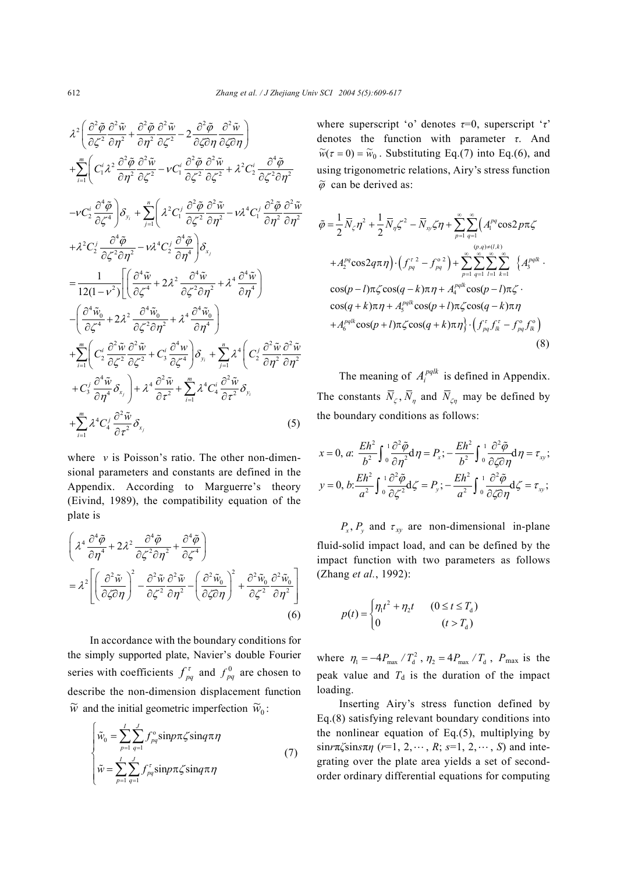$$
\lambda^{2}\left(\frac{\partial^{2}\tilde{\varphi}}{\partial\zeta^{2}}\frac{\partial^{2}\tilde{w}}{\partial\eta^{2}}+\frac{\partial^{2}\tilde{\varphi}}{\partial\eta^{2}}\frac{\partial^{2}\tilde{w}}{\partial\zeta^{2}}-2\frac{\partial^{2}\tilde{\varphi}}{\partial\zeta\partial\eta}\frac{\partial^{2}\tilde{w}}{\partial\zeta\partial\eta}\right) + \sum_{i=1}^{m}\left(C_{i}^{i}\lambda^{2}\frac{\partial^{2}\tilde{\varphi}}{\partial\eta^{2}}\frac{\partial^{2}\tilde{w}}{\partial\zeta^{2}}-V_{i}^{i}\frac{\partial^{2}\tilde{\varphi}}{\partial\zeta^{2}}\frac{\partial^{2}\tilde{w}}{\partial\zeta^{2}}+\lambda^{2}C_{2}^{i}\frac{\partial^{4}\tilde{\varphi}}{\partial\zeta^{2}\partial\eta^{2}} -V_{i}^{i}\frac{\partial^{4}\tilde{\varphi}}{\partial\zeta^{2}}\frac{\partial^{2}\tilde{w}}{\partial\zeta^{2}}+ \lambda^{2}C_{2}^{i}\frac{\partial^{4}\tilde{\varphi}}{\partial\zeta^{2}\partial\eta^{2}} -V_{i}^{i}\frac{\partial^{4}\tilde{\varphi}}{\partial\zeta^{2}}\frac{\partial^{2}\tilde{w}}{\partial\eta^{2}}-V_{i}^{i}\frac{\partial^{2}\tilde{\varphi}}{\partial\zeta^{2}\partial\eta^{2}} -V_{i}^{i}\frac{\partial^{2}\tilde{\varphi}}{\partial\zeta^{2}\partial\eta^{2}}-V_{i}^{i}\frac{\partial^{2}\tilde{\varphi}}{\partial\zeta^{2}\partial\eta^{2}} -V_{i}^{i}\frac{\partial^{2}\tilde{\varphi}}{\partial\zeta^{2}\partial\eta^{2}}+ \lambda^{2}C_{2}^{i}\frac{\partial^{4}\tilde{\varphi}}{\partial\zeta^{2}\partial\eta^{2}}-V_{i}^{i}\frac{\partial^{4}\tilde{\varphi}}{\partial\zeta^{2}\partial\eta^{2}} -V_{i}^{i}\frac{\partial^{4}\tilde{\varphi}}{\partial\zeta^{2}\partial\eta^{2}}+ \lambda^{4}\frac{\partial^{4}\tilde{w}}{\partial\eta^{4}}\right) - \frac{1}{12(1-v^{2})}\left[\left(\frac{\partial^{4}\tilde{w}}{\partial\zeta^{4}}+2\lambda^{2}\frac{\partial^{4}\tilde{w}}{\partial\zeta^{2}\partial\eta^{2}}
$$

where *ν* is Poisson's ratio. The other non-dimensional parameters and constants are defined in the Appendix. According to Marguerre's theory (Eivind, 1989), the compatibility equation of the plate is

$$
\left(\lambda^{4} \frac{\partial^{4} \tilde{\varphi}}{\partial \eta^{4}} + 2\lambda^{2} \frac{\partial^{4} \tilde{\varphi}}{\partial \zeta^{2} \partial \eta^{2}} + \frac{\partial^{4} \tilde{\varphi}}{\partial \zeta^{4}}\right)
$$
\n
$$
= \lambda^{2} \left[ \left(\frac{\partial^{2} \tilde{w}}{\partial \zeta \partial \eta}\right)^{2} - \frac{\partial^{2} \tilde{w}}{\partial \zeta^{2}} \frac{\partial^{2} \tilde{w}}{\partial \eta^{2}} - \left(\frac{\partial^{2} \tilde{w}_{0}}{\partial \zeta \partial \eta}\right)^{2} + \frac{\partial^{2} \tilde{w}_{0}}{\partial \zeta^{2}} \frac{\partial^{2} \tilde{w}_{0}}{\partial \eta^{2}} \right] \tag{6}
$$

In accordance with the boundary conditions for the simply supported plate, Navier's double Fourier series with coefficients  $f_{pq}^{\tau}$  and  $f_{pq}^{0}$  are chosen to describe the non-dimension displacement function  $\widetilde{w}$  and the initial geometric imperfection  $\widetilde{w}_0$ :

$$
\begin{cases}\n\tilde{w}_0 = \sum_{p=1}^{I} \sum_{q=1}^{J} f_{pq}^\circ \sin p\pi \zeta \sin q\pi \eta \\
\tilde{w} = \sum_{p=1}^{I} \sum_{q=1}^{J} f_{pq}^\tau \sin p\pi \zeta \sin q\pi \eta\n\end{cases}
$$
\n(7)

where superscript 'o' denotes *τ*=0, superscript '*τ*' denotes the function with parameter *τ*. And  $\widetilde{w}(\tau = 0) = \widetilde{w}_0$ . Substituting Eq.(7) into Eq.(6), and using trigonometric relations, Airy's stress function  $\widetilde{\varphi}$  can be derived as:

$$
\tilde{\varphi} = \frac{1}{2} \overline{N}_{\zeta} \eta^{2} + \frac{1}{2} \overline{N}_{\eta} \zeta^{2} - \overline{N}_{xy} \zeta \eta + \sum_{p=1}^{\infty} \sum_{q=1}^{\infty} \left( A_{1}^{pq} \cos 2p \pi \zeta \right)
$$
  
+  $A_{2}^{pq} \cos 2q \pi \eta \right) \cdot \left( f_{pq}^{\tau}{}^{2} - f_{pq}^{\circ 2} \right) + \sum_{p=1}^{\infty} \sum_{q=1}^{\infty} \sum_{l=1}^{\infty} \sum_{k=1}^{\infty} \left\{ A_{3}^{pqlk} \cdot \cos(p-l) \pi \zeta \cos(q-k) \pi \eta + A_{4}^{pqlk} \cos(p-l) \pi \zeta \right\}$   

$$
\cos(q+k) \pi \eta + A_{5}^{pqlk} \cos(p+l) \pi \zeta \cos(q-k) \pi \eta
$$
  
+  $A_{6}^{pqlk} \cos(p+l) \pi \zeta \cos(q+k) \pi \eta \right\} \cdot \left( f_{pq}^{\tau} f_{lk}^{\tau} - f_{pq}^{\circ} f_{lk}^{\circ} \right)$   
(8)

The meaning of  $A_i^{pqlk}$  is defined in Appendix. The constants  $\overline{N}_z$ ,  $\overline{N}_n$  and  $\overline{N}_{z_n}$  may be defined by the boundary conditions as follows:

$$
x = 0, \, a: \, \frac{Eh^2}{b^2} \int_0^1 \frac{\partial^2 \tilde{\varphi}}{\partial \eta^2} d\eta = P_x; \, -\frac{Eh^2}{b^2} \int_0^1 \frac{\partial^2 \tilde{\varphi}}{\partial \zeta \partial \eta} d\eta = \tau_{xy};
$$
\n
$$
y = 0, \, b: \frac{Eh^2}{a^2} \int_0^1 \frac{\partial^2 \tilde{\varphi}}{\partial \zeta^2} d\zeta = P_y; \, -\frac{Eh^2}{a^2} \int_0^1 \frac{\partial^2 \tilde{\varphi}}{\partial \zeta \partial \eta} d\zeta = \tau_{xy};
$$

 $P_r$ ,  $P_v$  and  $\tau_{xv}$  are non-dimensional in-plane fluid-solid impact load, and can be defined by the impact function with two parameters as follows (Zhang *et al.*, 1992):

$$
p(t) = \begin{cases} \eta_1 t^2 + \eta_2 t & (0 \le t \le T_d) \\ 0 & (t > T_d) \end{cases}
$$

where  $\eta_1 = -4P_{\text{max}}/T_d^2$ ,  $\eta_2 = 4P_{\text{max}}/T_d$ ,  $P_{\text{max}}$  is the peak value and  $T<sub>d</sub>$  is the duration of the impact loading.

Inserting Airy's stress function defined by Eq.(8) satisfying relevant boundary conditions into the nonlinear equation of Eq. $(5)$ , multiplying by  $\sin r\pi\zeta \sin s\pi\eta$  ( $r=1, 2, \cdots, R; s=1, 2, \cdots, S$ ) and integrating over the plate area yields a set of secondorder ordinary differential equations for computing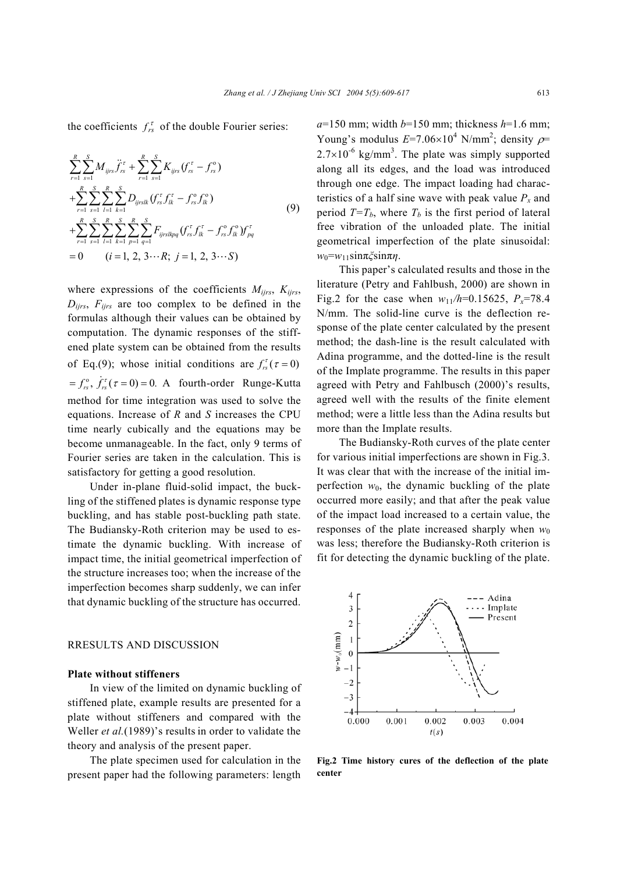the coefficients  $f_{rs}^{\tau}$  of the double Fourier series:

$$
\sum_{r=1}^{R} \sum_{s=1}^{S} M_{ijrs} \ddot{f}_{rs}^{\tau} + \sum_{r=1}^{R} \sum_{s=1}^{S} K_{ijrs} (f_{rs}^{\tau} - f_{rs}^{\circ})
$$
\n
$$
+ \sum_{r=1}^{R} \sum_{s=1}^{S} \sum_{l=1}^{R} \sum_{k=1}^{S} D_{ijrslk} (f_{rs}^{\tau} f_{lk}^{\tau} - f_{rs}^{\circ} f_{lk}^{\circ})
$$
\n
$$
+ \sum_{r=1}^{R} \sum_{s=1}^{S} \sum_{l=1}^{R} \sum_{k=1}^{S} \sum_{p=1}^{R} \sum_{q=1}^{S} F_{ijrslkpq} (f_{rs}^{\tau} f_{lk}^{\tau} - f_{rs}^{\circ} f_{lk}^{\circ}) f_{pq}^{\tau}
$$
\n
$$
= 0 \qquad (i = 1, 2, 3 \cdots R; j = 1, 2, 3 \cdots S)
$$
\n(9)

where expressions of the coefficients  $M_{ijrs}$ ,  $K_{ijrs}$ ,  $D_{iirs}$ ,  $F_{iirs}$  are too complex to be defined in the formulas although their values can be obtained by computation. The dynamic responses of the stiffened plate system can be obtained from the results of Eq.(9); whose initial conditions are  $f_{rs}^{\tau}(\tau = 0)$  $f_{rs}^{\circ}$ ,  $\dot{f}_{rs}^{\tau}(\tau=0) = 0$ . A fourth-order Runge-Kutta method for time integration was used to solve the equations. Increase of *R* and *S* increases the CPU time nearly cubically and the equations may be become unmanageable. In the fact, only 9 terms of Fourier series are taken in the calculation. This is satisfactory for getting a good resolution.

Under in-plane fluid-solid impact, the buckling of the stiffened plates is dynamic response type buckling, and has stable post-buckling path state. The Budiansky-Roth criterion may be used to estimate the dynamic buckling. With increase of impact time, the initial geometrical imperfection of the structure increases too; when the increase of the imperfection becomes sharp suddenly, we can infer that dynamic buckling of the structure has occurred.

# RRESULTS AND DISCUSSION

### **Plate without stiffeners**

In view of the limited on dynamic buckling of stiffened plate, example results are presented for a plate without stiffeners and compared with the Weller *et al.*(1989)'s results in order to validate the theory and analysis of the present paper.

The plate specimen used for calculation in the present paper had the following parameters: length  $a=150$  mm; width  $b=150$  mm; thickness  $h=1.6$  mm; Young's modulus  $E=7.06\times10^4$  N/mm<sup>2</sup>; density  $\rho$ =  $2.7 \times 10^{-6}$  kg/mm<sup>3</sup>. The plate was simply supported along all its edges, and the load was introduced through one edge. The impact loading had characteristics of a half sine wave with peak value  $P_x$  and period  $T=T_b$ , where  $T_b$  is the first period of lateral free vibration of the unloaded plate. The initial geometrical imperfection of the plate sinusoidal: *w*0=*w*11sinπ*ξ*sinπ*η*.

This paper's calculated results and those in the literature (Petry and Fahlbush, 2000) are shown in Fig.2 for the case when  $w_{11}/h=0.15625$ ,  $P_x=78.4$ N/mm. The solid-line curve is the deflection response of the plate center calculated by the present method; the dash-line is the result calculated with Adina programme, and the dotted-line is the result of the Implate programme. The results in this paper agreed with Petry and Fahlbusch (2000)'s results, agreed well with the results of the finite element method; were a little less than the Adina results but more than the Implate results.

The Budiansky-Roth curves of the plate center for various initial imperfections are shown in Fig.3. It was clear that with the increase of the initial imperfection  $w_0$ , the dynamic buckling of the plate occurred more easily; and that after the peak value of the impact load increased to a certain value, the responses of the plate increased sharply when  $w_0$ was less; therefore the Budiansky-Roth criterion is fit for detecting the dynamic buckling of the plate.



**Fig.2 Time history cures of the deflection of the plate center**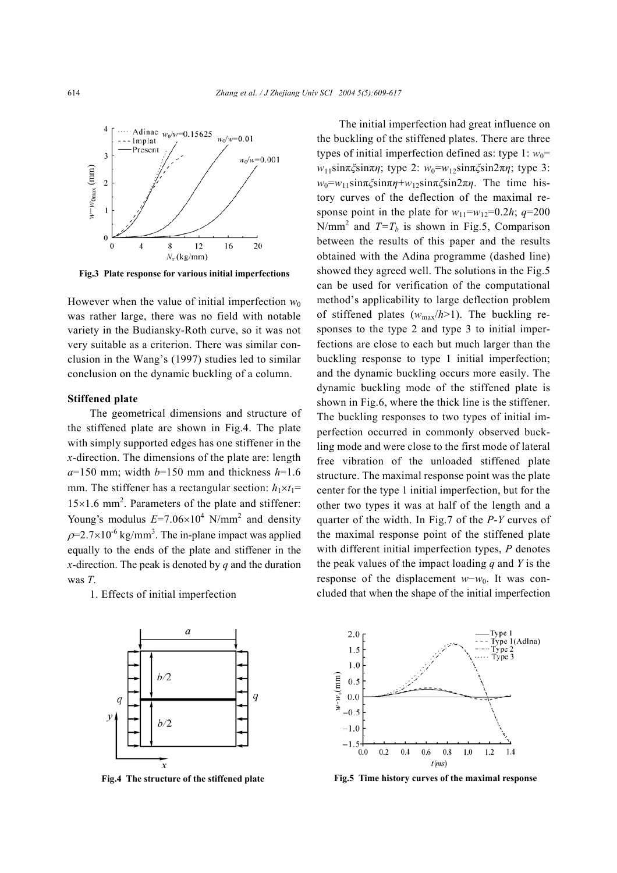

**Fig.3 Plate response for various initial imperfections** 

However when the value of initial imperfection  $w_0$ was rather large, there was no field with notable variety in the Budiansky-Roth curve, so it was not very suitable as a criterion. There was similar conclusion in the Wang's (1997) studies led to similar conclusion on the dynamic buckling of a column.

#### **Stiffened plate**

The geometrical dimensions and structure of the stiffened plate are shown in Fig.4. The plate with simply supported edges has one stiffener in the *x*-direction. The dimensions of the plate are: length  $a=150$  mm; width  $b=150$  mm and thickness  $h=1.6$ mm. The stiffener has a rectangular section:  $h_1 \times t_1 =$ 15×1.6 mm<sup>2</sup> . Parameters of the plate and stiffener: Young's modulus  $E=7.06\times10^4$  N/mm<sup>2</sup> and density  $p=2.7\times10^{-6}$  kg/mm<sup>3</sup>. The in-plane impact was applied equally to the ends of the plate and stiffener in the *x*-direction. The peak is denoted by *q* and the duration was *T*.

1. Effects of initial imperfection



The initial imperfection had great influence on the buckling of the stiffened plates. There are three types of initial imperfection defined as: type  $1: w_0 =$ *w*<sub>11</sub>sinπ*ξ*sinπ*η*; type 2: *w*<sub>0</sub>=*w*<sub>12</sub>sinπ*ζ*sin2π*η*; type 3:  $w_0 = w_{11} \sin \pi \zeta \sin \pi \eta + w_{12} \sin \pi \zeta \sin 2\pi \eta$ . The time history curves of the deflection of the maximal response point in the plate for  $w_{11}=w_{12}=0.2h$ ;  $q=200$ N/mm<sup>2</sup> and  $T=T_b$  is shown in Fig.5, Comparison between the results of this paper and the results obtained with the Adina programme (dashed line) showed they agreed well. The solutions in the Fig.5 can be used for verification of the computational method's applicability to large deflection problem of stiffened plates  $(w_{\text{max}}/h>1)$ . The buckling responses to the type 2 and type 3 to initial imperfections are close to each but much larger than the buckling response to type 1 initial imperfection; and the dynamic buckling occurs more easily. The dynamic buckling mode of the stiffened plate is shown in Fig.6, where the thick line is the stiffener. The buckling responses to two types of initial imperfection occurred in commonly observed buckling mode and were close to the first mode of lateral free vibration of the unloaded stiffened plate structure. The maximal response point was the plate center for the type 1 initial imperfection, but for the other two types it was at half of the length and a quarter of the width. In Fig.7 of the *P*-*Y* curves of the maximal response point of the stiffened plate with different initial imperfection types, *P* denotes the peak values of the impact loading *q* and *Y* is the response of the displacement *w*−*w*0. It was concluded that when the shape of the initial imperfection



**Fig.4 The structure of the stiffened plate Fig.5 Time history curves of the maximal response**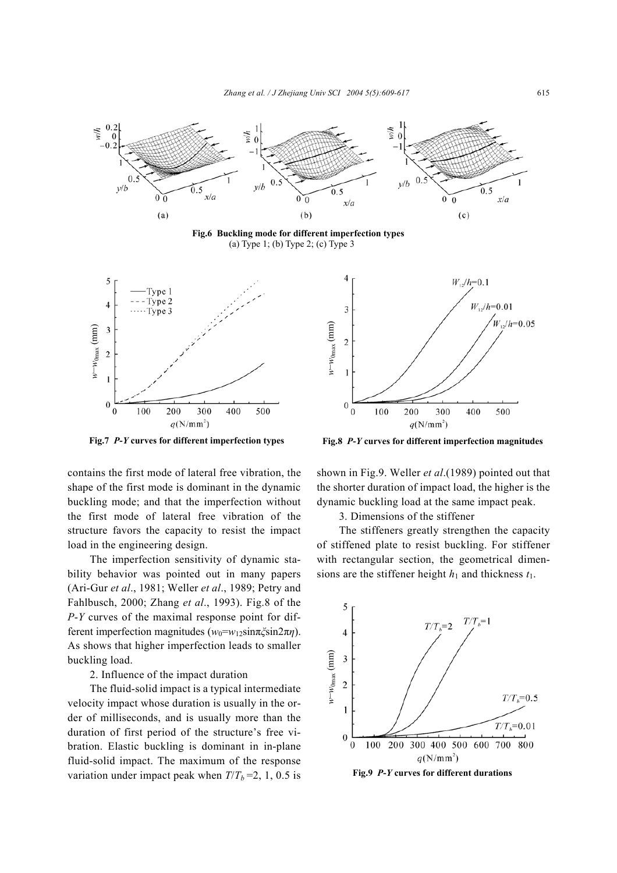

contains the first mode of lateral free vibration, the shape of the first mode is dominant in the dynamic buckling mode; and that the imperfection without the first mode of lateral free vibration of the structure favors the capacity to resist the impact load in the engineering design.

The imperfection sensitivity of dynamic stability behavior was pointed out in many papers (Ari-Gur *et al*., 1981; Weller *et al*., 1989; Petry and Fahlbusch, 2000; Zhang *et al*., 1993). Fig.8 of the *P*-*Y* curves of the maximal response point for different imperfection magnitudes ( $w_0 = w_1$ <sub>2</sub>sinπ*ζ*sin2π*η*). As shows that higher imperfection leads to smaller buckling load.

2. Influence of the impact duration

The fluid-solid impact is a typical intermediate velocity impact whose duration is usually in the order of milliseconds, and is usually more than the duration of first period of the structure's free vibration. Elastic buckling is dominant in in-plane fluid-solid impact. The maximum of the response variation under impact peak when  $T/T_b = 2$ , 1, 0.5 is

**Fig.7** *P***-***Y* **curves for different imperfection types Fig.8** *P***-***Y* **curves for different imperfection magnitudes**

shown in Fig.9. Weller *et al*.(1989) pointed out that the shorter duration of impact load, the higher is the dynamic buckling load at the same impact peak.

3. Dimensions of the stiffener

The stiffeners greatly strengthen the capacity of stiffened plate to resist buckling. For stiffener with rectangular section, the geometrical dimensions are the stiffener height  $h_1$  and thickness  $t_1$ .



**Fig.9** *P***-***Y* **curves for different durations**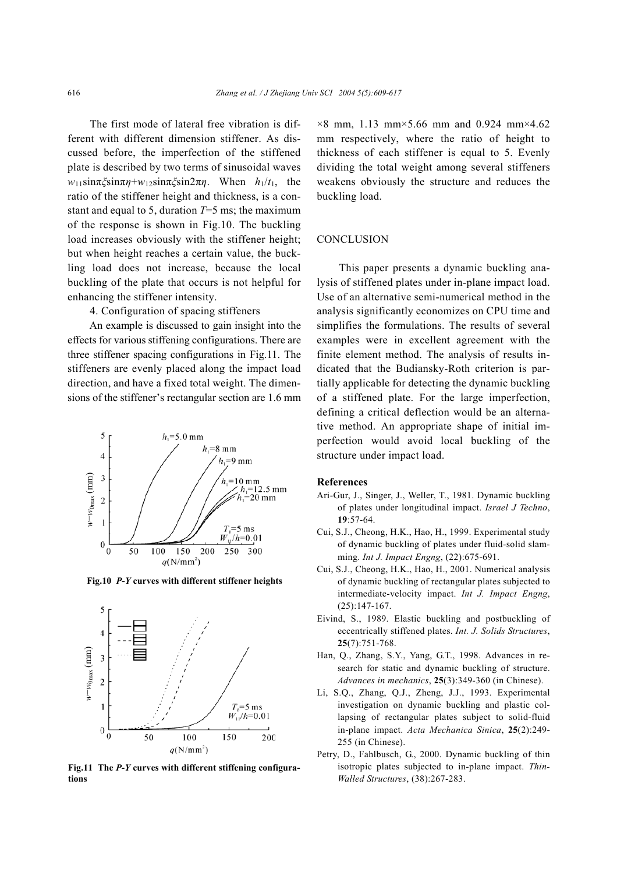The first mode of lateral free vibration is different with different dimension stiffener. As discussed before, the imperfection of the stiffened plate is described by two terms of sinusoidal waves *w*11sinπ*ξ*sinπ*η*+*w*12sinπ*ξ*sin2π*η*. When *h*1/*t*1, the ratio of the stiffener height and thickness, is a constant and equal to 5, duration *T*=5 ms; the maximum of the response is shown in Fig.10. The buckling load increases obviously with the stiffener height; but when height reaches a certain value, the buckling load does not increase, because the local buckling of the plate that occurs is not helpful for enhancing the stiffener intensity.

4. Configuration of spacing stiffeners

An example is discussed to gain insight into the effects for various stiffening configurations. There are three stiffener spacing configurations in Fig.11. The stiffeners are evenly placed along the impact load direction, and have a fixed total weight. The dimensions of the stiffener's rectangular section are 1.6 mm



**Fig.10** *P***-***Y* **curves with different stiffener heights**



**Fig.11 The** *P***-***Y* **curves with different stiffening configurations** 

 $\times$ 8 mm, 1.13 mm $\times$ 5.66 mm and 0.924 mm $\times$ 4.62 mm respectively, where the ratio of height to thickness of each stiffener is equal to 5. Evenly dividing the total weight among several stiffeners weakens obviously the structure and reduces the buckling load.

## **CONCLUSION**

This paper presents a dynamic buckling analysis of stiffened plates under in-plane impact load. Use of an alternative semi-numerical method in the analysis significantly economizes on CPU time and simplifies the formulations. The results of several examples were in excellent agreement with the finite element method. The analysis of results indicated that the Budiansky-Roth criterion is partially applicable for detecting the dynamic buckling of a stiffened plate. For the large imperfection, defining a critical deflection would be an alternative method. An appropriate shape of initial imperfection would avoid local buckling of the structure under impact load.

#### **References**

- Ari-Gur, J., Singer, J., Weller, T., 1981. Dynamic buckling of plates under longitudinal impact. *Israel J Techno*, **19**:57-64.
- Cui, S.J., Cheong, H.K., Hao, H., 1999. Experimental study of dynamic buckling of plates under fluid-solid slamming. *Int J. Impact Engng*, (22):675-691.
- Cui, S.J., Cheong, H.K., Hao, H., 2001. Numerical analysis of dynamic buckling of rectangular plates subjected to intermediate-velocity impact. *Int J. Impact Engng*, (25):147-167.
- Eivind, S., 1989. Elastic buckling and postbuckling of eccentrically stiffened plates. *Int. J. Solids Structures*, **25**(7):751-768.
- Han, Q., Zhang, S.Y., Yang, G.T., 1998. Advances in research for static and dynamic buckling of structure. *Advances in mechanics*, **25**(3):349-360 (in Chinese).
- Li, S.Q., Zhang, Q.J., Zheng, J.J., 1993. Experimental investigation on dynamic buckling and plastic collapsing of rectangular plates subject to solid-fluid in-plane impact. *Acta Mechanica Sinica*, **25**(2):249- 255 (in Chinese).
- Petry, D., Fahlbusch, G., 2000. Dynamic buckling of thin isotropic plates subjected to in-plane impact. *Thin-Walled Structures*, (38):267-283.